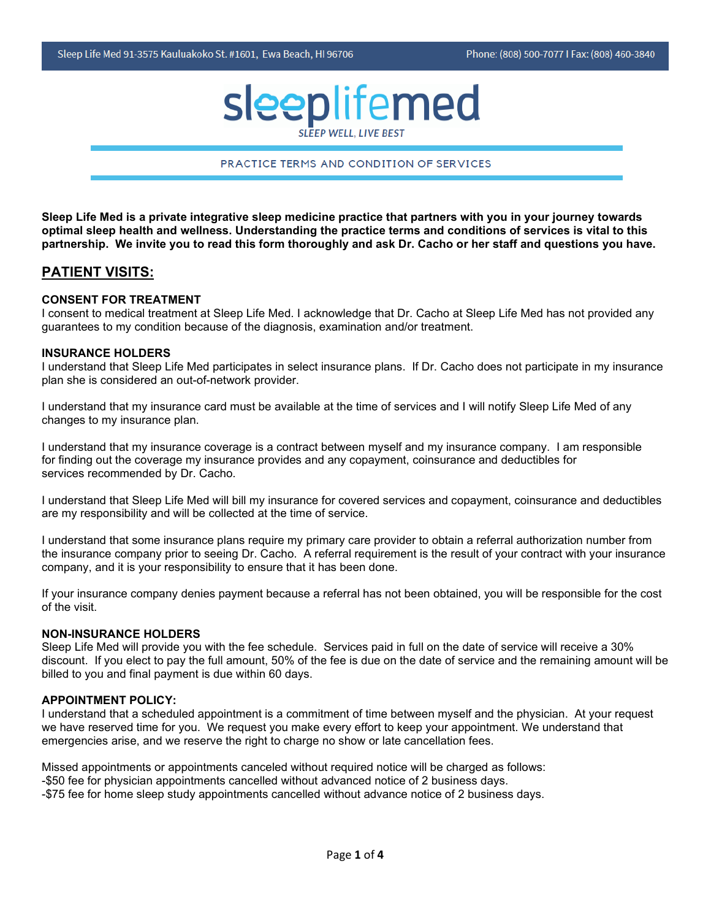# sleeplifemed

#### PRACTICE TERMS AND CONDITION OF SERVICES

**Sleep Life Med is a private integrative sleep medicine practice that partners with you in your journey towards optimal sleep health and wellness. Understanding the practice terms and conditions of services is vital to this partnership. We invite you to read this form thoroughly and ask Dr. Cacho or her staff and questions you have.** 

#### **PATIENT VISITS:**

#### **CONSENT FOR TREATMENT**

I consent to medical treatment at Sleep Life Med. I acknowledge that Dr. Cacho at Sleep Life Med has not provided any guarantees to my condition because of the diagnosis, examination and/or treatment.

#### **INSURANCE HOLDERS**

I understand that Sleep Life Med participates in select insurance plans. If Dr. Cacho does not participate in my insurance plan she is considered an out-of-network provider.

I understand that my insurance card must be available at the time of services and I will notify Sleep Life Med of any changes to my insurance plan.

I understand that my insurance coverage is a contract between myself and my insurance company. I am responsible for finding out the coverage my insurance provides and any copayment, coinsurance and deductibles for services recommended by Dr. Cacho.

I understand that Sleep Life Med will bill my insurance for covered services and copayment, coinsurance and deductibles are my responsibility and will be collected at the time of service.

I understand that some insurance plans require my primary care provider to obtain a referral authorization number from the insurance company prior to seeing Dr. Cacho. A referral requirement is the result of your contract with your insurance company, and it is your responsibility to ensure that it has been done.

If your insurance company denies payment because a referral has not been obtained, you will be responsible for the cost of the visit.

#### **NON-INSURANCE HOLDERS**

Sleep Life Med will provide you with the fee schedule. Services paid in full on the date of service will receive a 30% discount. If you elect to pay the full amount, 50% of the fee is due on the date of service and the remaining amount will be billed to you and final payment is due within 60 days.

#### **APPOINTMENT POLICY:**

I understand that a scheduled appointment is a commitment of time between myself and the physician. At your request we have reserved time for you. We request you make every effort to keep your appointment. We understand that emergencies arise, and we reserve the right to charge no show or late cancellation fees.

Missed appointments or appointments canceled without required notice will be charged as follows: -\$50 fee for physician appointments cancelled without advanced notice of 2 business days. -\$75 fee for home sleep study appointments cancelled without advance notice of 2 business days.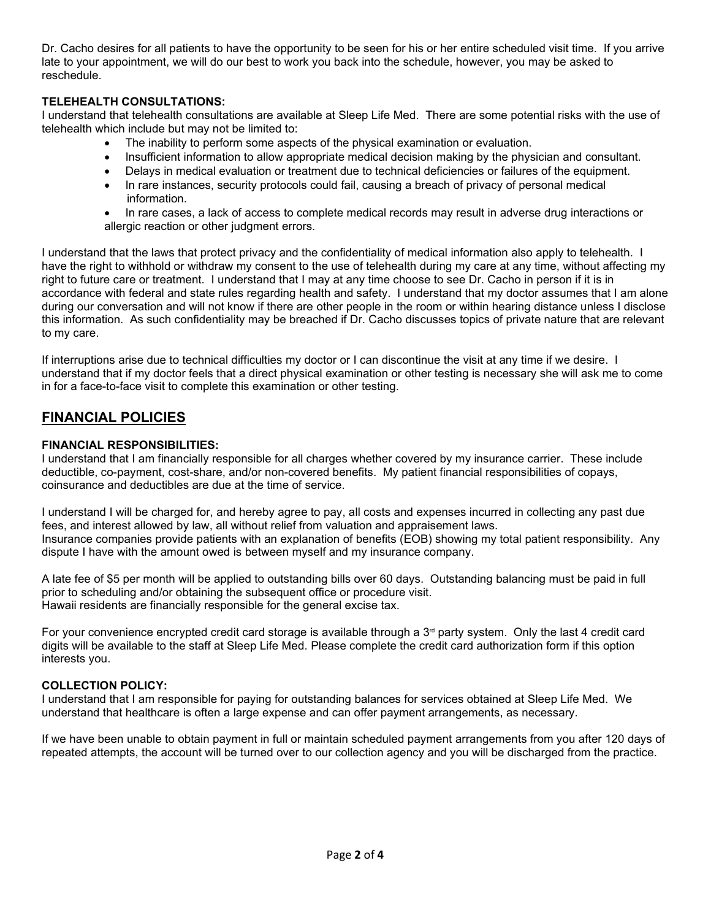Dr. Cacho desires for all patients to have the opportunity to be seen for his or her entire scheduled visit time. If you arrive late to your appointment, we will do our best to work you back into the schedule, however, you may be asked to reschedule.

## **TELEHEALTH CONSULTATIONS:**

I understand that telehealth consultations are available at Sleep Life Med. There are some potential risks with the use of telehealth which include but may not be limited to:

- The inability to perform some aspects of the physical examination or evaluation.
- Insufficient information to allow appropriate medical decision making by the physician and consultant.
- Delays in medical evaluation or treatment due to technical deficiencies or failures of the equipment.
- In rare instances, security protocols could fail, causing a breach of privacy of personal medical information.
- In rare cases, a lack of access to complete medical records may result in adverse drug interactions or allergic reaction or other judgment errors.

I understand that the laws that protect privacy and the confidentiality of medical information also apply to telehealth. I have the right to withhold or withdraw my consent to the use of telehealth during my care at any time, without affecting my right to future care or treatment. I understand that I may at any time choose to see Dr. Cacho in person if it is in accordance with federal and state rules regarding health and safety. I understand that my doctor assumes that I am alone during our conversation and will not know if there are other people in the room or within hearing distance unless I disclose this information. As such confidentiality may be breached if Dr. Cacho discusses topics of private nature that are relevant to my care.

If interruptions arise due to technical difficulties my doctor or I can discontinue the visit at any time if we desire. I understand that if my doctor feels that a direct physical examination or other testing is necessary she will ask me to come in for a face-to-face visit to complete this examination or other testing.

## **FINANCIAL POLICIES**

## **FINANCIAL RESPONSIBILITIES:**

I understand that I am financially responsible for all charges whether covered by my insurance carrier. These include deductible, co-payment, cost-share, and/or non-covered benefits. My patient financial responsibilities of copays, coinsurance and deductibles are due at the time of service.

I understand I will be charged for, and hereby agree to pay, all costs and expenses incurred in collecting any past due fees, and interest allowed by law, all without relief from valuation and appraisement laws. Insurance companies provide patients with an explanation of benefits (EOB) showing my total patient responsibility. Any dispute I have with the amount owed is between myself and my insurance company.

A late fee of \$5 per month will be applied to outstanding bills over 60 days. Outstanding balancing must be paid in full prior to scheduling and/or obtaining the subsequent office or procedure visit. Hawaii residents are financially responsible for the general excise tax.

For your convenience encrypted credit card storage is available through a  $3<sup>d</sup>$  party system. Only the last 4 credit card digits will be available to the staff at Sleep Life Med. Please complete the credit card authorization form if this option interests you.

## **COLLECTION POLICY:**

I understand that I am responsible for paying for outstanding balances for services obtained at Sleep Life Med. We understand that healthcare is often a large expense and can offer payment arrangements, as necessary.

If we have been unable to obtain payment in full or maintain scheduled payment arrangements from you after 120 days of repeated attempts, the account will be turned over to our collection agency and you will be discharged from the practice.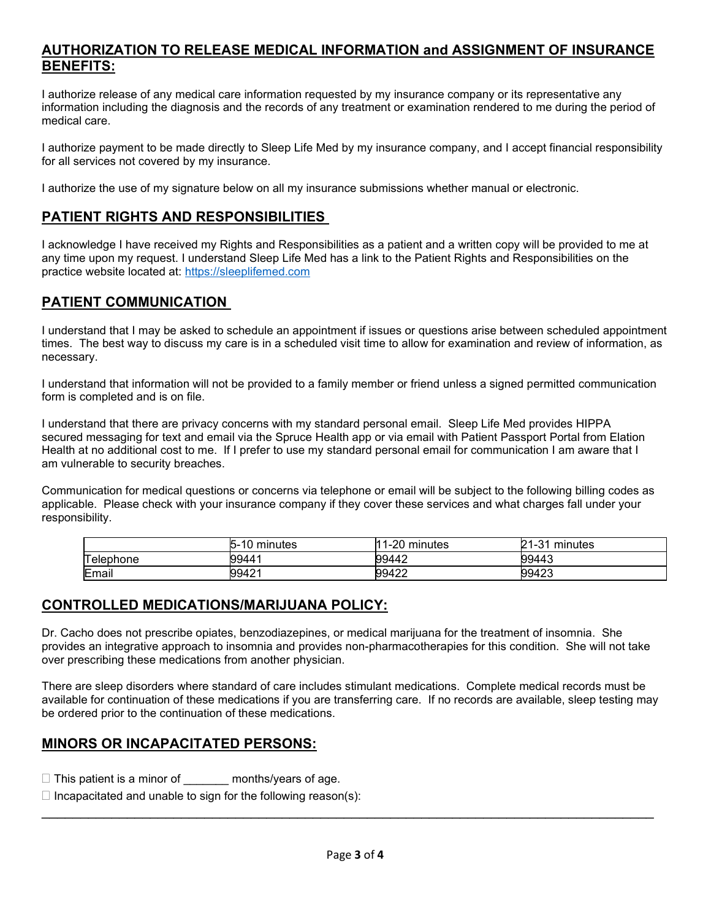## **AUTHORIZATION TO RELEASE MEDICAL INFORMATION and ASSIGNMENT OF INSURANCE BENEFITS:**

I authorize release of any medical care information requested by my insurance company or its representative any information including the diagnosis and the records of any treatment or examination rendered to me during the period of medical care.

I authorize payment to be made directly to Sleep Life Med by my insurance company, and I accept financial responsibility for all services not covered by my insurance.

I authorize the use of my signature below on all my insurance submissions whether manual or electronic.

# **PATIENT RIGHTS AND RESPONSIBILITIES**

I acknowledge I have received my Rights and Responsibilities as a patient and a written copy will be provided to me at any time upon my request. I understand Sleep Life Med has a link to the Patient Rights and Responsibilities on the practice website located at: [https://sleeplifemed.com](https://sleeplifemed.com/)

# **PATIENT COMMUNICATION**

I understand that I may be asked to schedule an appointment if issues or questions arise between scheduled appointment times. The best way to discuss my care is in a scheduled visit time to allow for examination and review of information, as necessary.

I understand that information will not be provided to a family member or friend unless a signed permitted communication form is completed and is on file.

I understand that there are privacy concerns with my standard personal email. Sleep Life Med provides HIPPA secured messaging for text and email via the Spruce Health app or via email with Patient Passport Portal from Elation Health at no additional cost to me. If I prefer to use my standard personal email for communication I am aware that I am vulnerable to security breaches.

Communication for medical questions or concerns via telephone or email will be subject to the following billing codes as applicable. Please check with your insurance company if they cover these services and what charges fall under your responsibility.

|           | minutes<br>∍-<br>ιU | $1 - 20$<br>minutes | n 1<br>$1 - 31$<br>minutes |
|-----------|---------------------|---------------------|----------------------------|
| Telephone | 99441               | 99442               | 99443                      |
| Email     | 99421               | 99422               | 99423                      |

## **CONTROLLED MEDICATIONS/MARIJUANA POLICY:**

Dr. Cacho does not prescribe opiates, benzodiazepines, or medical marijuana for the treatment of insomnia. She provides an integrative approach to insomnia and provides non-pharmacotherapies for this condition. She will not take over prescribing these medications from another physician.

There are sleep disorders where standard of care includes stimulant medications. Complete medical records must be available for continuation of these medications if you are transferring care. If no records are available, sleep testing may be ordered prior to the continuation of these medications.

# **MINORS OR INCAPACITATED PERSONS:**

- $\Box$  This patient is a minor of months/years of age.
- $\Box$  Incapacitated and unable to sign for the following reason(s):

\_\_\_\_\_\_\_\_\_\_\_\_\_\_\_\_\_\_\_\_\_\_\_\_\_\_\_\_\_\_\_\_\_\_\_\_\_\_\_\_\_\_\_\_\_\_\_\_\_\_\_\_\_\_\_\_\_\_\_\_\_\_\_\_\_\_\_\_\_\_\_\_\_\_\_\_\_\_\_